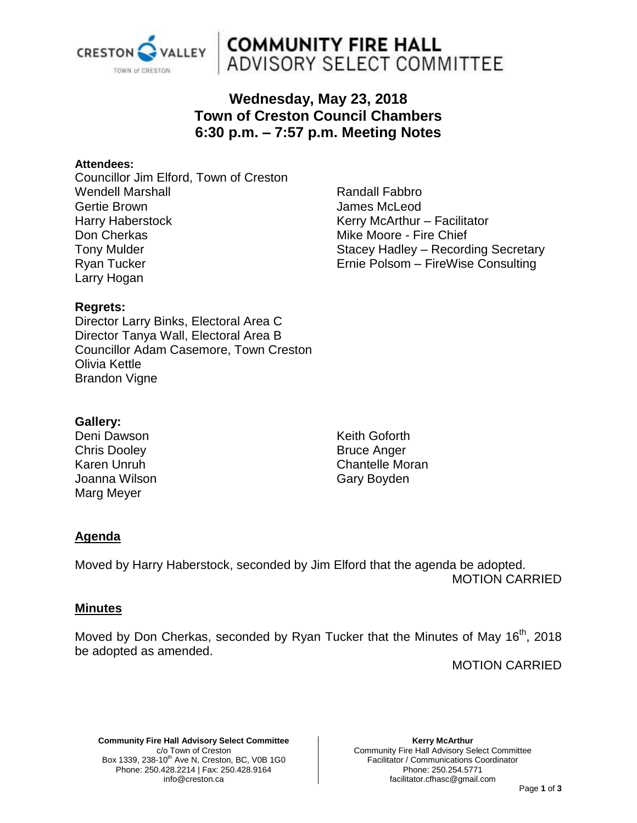

# **COMMUNITY FIRE HALL<br>ADVISORY SELECT COMMITTEE**

# **Wednesday, May 23, 2018 Town of Creston Council Chambers 6:30 p.m. – 7:57 p.m. Meeting Notes**

## **Attendees:**

Councillor Jim Elford, Town of Creston Wendell Marshall Gertie Brown Harry Haberstock Don Cherkas Tony Mulder Ryan Tucker Larry Hogan

Randall Fabbro James McLeod Kerry McArthur – Facilitator Mike Moore - Fire Chief Stacey Hadley – Recording Secretary Ernie Polsom – FireWise Consulting

# **Regrets:**

Director Larry Binks, Electoral Area C Director Tanya Wall, Electoral Area B Councillor Adam Casemore, Town Creston Olivia Kettle Brandon Vigne

## **Gallery:**

Deni Dawson Chris Dooley Karen Unruh Joanna Wilson Marg Meyer

Keith Goforth Bruce Anger Chantelle Moran Gary Boyden

# **Agenda**

Moved by Harry Haberstock, seconded by Jim Elford that the agenda be adopted. MOTION CARRIED

## **Minutes**

Moved by Don Cherkas, seconded by Ryan Tucker that the Minutes of May 16<sup>th</sup>, 2018 be adopted as amended.

MOTION CARRIED

**Community Fire Hall Advisory Select Committee** c/o Town of Creston Box 1339, 238-10<sup>th</sup> Ave N, Creston, BC, V0B 1G0 Phone: 250.428.2214 | Fax: 250.428.9164 info@creston.ca

**Kerry McArthur** Community Fire Hall Advisory Select Committee Facilitator / Communications Coordinator Phone: 250.254.5771 facilitator.cfhasc@gmail.com

#### Page **1** of **3**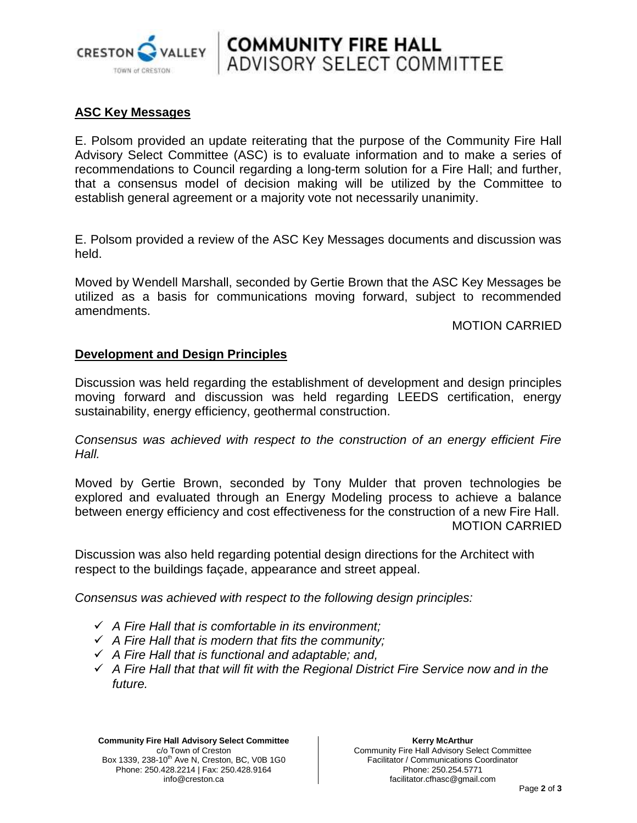

# **ASC Key Messages**

E. Polsom provided an update reiterating that the purpose of the Community Fire Hall Advisory Select Committee (ASC) is to evaluate information and to make a series of recommendations to Council regarding a long-term solution for a Fire Hall; and further, that a consensus model of decision making will be utilized by the Committee to establish general agreement or a majority vote not necessarily unanimity.

**COMMUNITY FIRE HALL**<br>ADVISORY SELECT COMMITTEE

E. Polsom provided a review of the ASC Key Messages documents and discussion was held.

Moved by Wendell Marshall, seconded by Gertie Brown that the ASC Key Messages be utilized as a basis for communications moving forward, subject to recommended amendments.

MOTION CARRIED

## **Development and Design Principles**

Discussion was held regarding the establishment of development and design principles moving forward and discussion was held regarding LEEDS certification, energy sustainability, energy efficiency, geothermal construction.

*Consensus was achieved with respect to the construction of an energy efficient Fire Hall.*

Moved by Gertie Brown, seconded by Tony Mulder that proven technologies be explored and evaluated through an Energy Modeling process to achieve a balance between energy efficiency and cost effectiveness for the construction of a new Fire Hall. MOTION CARRIED

Discussion was also held regarding potential design directions for the Architect with respect to the buildings façade, appearance and street appeal.

*Consensus was achieved with respect to the following design principles:*

- *A Fire Hall that is comfortable in its environment;*
- *A Fire Hall that is modern that fits the community;*
- *A Fire Hall that is functional and adaptable; and,*
- *A Fire Hall that that will fit with the Regional District Fire Service now and in the future.*

**Community Fire Hall Advisory Select Committee** c/o Town of Creston Box 1339, 238-10<sup>th</sup> Ave N, Creston, BC, V0B 1G0 Phone: 250.428.2214 | Fax: 250.428.9164 info@creston.ca

**Kerry McArthur** Community Fire Hall Advisory Select Committee Facilitator / Communications Coordinator Phone: 250.254.5771 facilitator.cfhasc@gmail.com